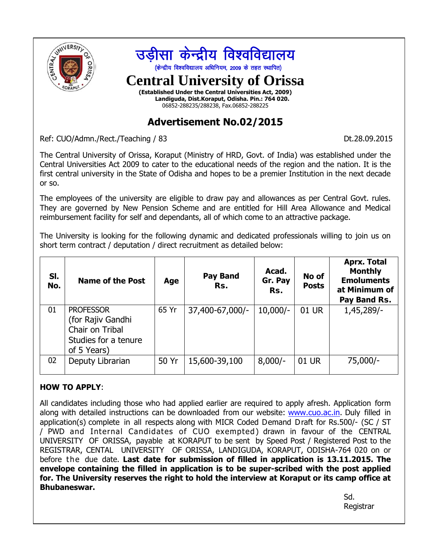

Ref: CUO/Admn./Rect./Teaching / 83 Dt.28.09.2015

The Central University of Orissa, Koraput (Ministry of HRD, Govt. of India) was established under the Central Universities Act 2009 to cater to the educational needs of the region and the nation. It is the first central university in the State of Odisha and hopes to be a premier Institution in the next decade or so.

The employees of the university are eligible to draw pay and allowances as per Central Govt. rules. They are governed by New Pension Scheme and are entitled for Hill Area Allowance and Medical reimbursement facility for self and dependants, all of which come to an attractive package.

The University is looking for the following dynamic and dedicated professionals willing to join us on short term contract / deputation / direct recruitment as detailed below:

| SI.<br>No. | <b>Name of the Post</b>                                                                         | Age   | <b>Pay Band</b><br>Rs. | Acad.<br>Gr. Pay<br>Rs. | No of<br><b>Posts</b> | <b>Aprx. Total</b><br><b>Monthly</b><br><b>Emoluments</b><br>at Minimum of<br>Pay Band Rs. |
|------------|-------------------------------------------------------------------------------------------------|-------|------------------------|-------------------------|-----------------------|--------------------------------------------------------------------------------------------|
| 01         | <b>PROFESSOR</b><br>(for Rajiv Gandhi<br>Chair on Tribal<br>Studies for a tenure<br>of 5 Years) | 65 Yr | 37,400-67,000/-        | $10,000/-$              | 01 UR                 | 1,45,289/-                                                                                 |
| 02         | Deputy Librarian                                                                                | 50 Yr | 15,600-39,100          | $8,000/-$               | 01 UR                 | 75,000/-                                                                                   |

#### **HOW TO APPLY**:

All candidates including those who had applied earlier are required to apply afresh. Application form along with detailed instructions can be downloaded from our website: [www.cuo.ac.in.](http://www.cuo.ac.in/) Duly filled in application(s) complete in all respects along with MICR Coded Demand Draft for Rs.500/- (SC / ST / PWD and Internal Candidates of CUO exempted ) drawn in favour of the CENTRAL UNIVERSITY OF ORISSA, payable at KORAPUT to be sent by Speed Post / Registered Post to the REGISTRAR, CENTAL UNIVERSITY OF ORISSA, LANDIGUDA, KORAPUT, ODISHA-764 020 on or before the due date. **Last date for submission of filled in application is 13.11.2015. The envelope containing the filled in application is to be super-scribed with the post applied for. The University reserves the right to hold the interview at Koraput or its camp office at Bhubaneswar.**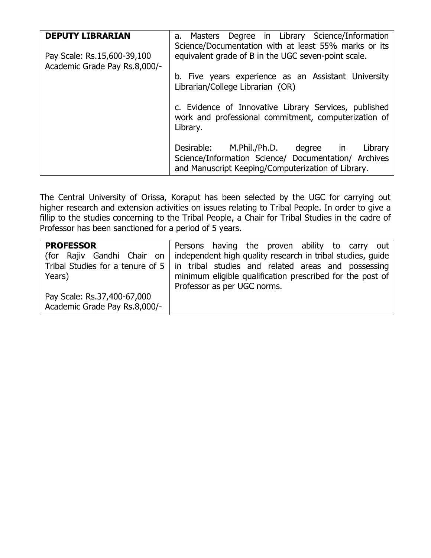| <b>DEPUTY LIBRARIAN</b>                                      | a. Masters Degree in Library Science/Information<br>Science/Documentation with at least 55% marks or its                                                       |  |  |  |  |  |  |  |
|--------------------------------------------------------------|----------------------------------------------------------------------------------------------------------------------------------------------------------------|--|--|--|--|--|--|--|
| Pay Scale: Rs.15,600-39,100<br>Academic Grade Pay Rs.8,000/- | equivalent grade of B in the UGC seven-point scale.                                                                                                            |  |  |  |  |  |  |  |
|                                                              | b. Five years experience as an Assistant University<br>Librarian/College Librarian (OR)                                                                        |  |  |  |  |  |  |  |
|                                                              | c. Evidence of Innovative Library Services, published<br>work and professional commitment, computerization of<br>Library.                                      |  |  |  |  |  |  |  |
|                                                              | Desirable:<br>M.Phil./Ph.D. degree in<br>Library<br>Science/Information Science/ Documentation/ Archives<br>and Manuscript Keeping/Computerization of Library. |  |  |  |  |  |  |  |

The Central University of Orissa, Koraput has been selected by the UGC for carrying out higher research and extension activities on issues relating to Tribal People. In order to give a fillip to the studies concerning to the Tribal People, a Chair for Tribal Studies in the cadre of Professor has been sanctioned for a period of 5 years.

| <b>PROFESSOR</b><br>(for Rajiv Gandhi Chair on<br>Years)     | Persons having the proven ability to carry out<br>independent high quality research in tribal studies, guide<br>Tribal Studies for a tenure of $5 \mid$ in tribal studies and related areas and possessing<br>minimum eligible qualification prescribed for the post of<br>Professor as per UGC norms. |
|--------------------------------------------------------------|--------------------------------------------------------------------------------------------------------------------------------------------------------------------------------------------------------------------------------------------------------------------------------------------------------|
| Pay Scale: Rs.37,400-67,000<br>Academic Grade Pay Rs.8,000/- |                                                                                                                                                                                                                                                                                                        |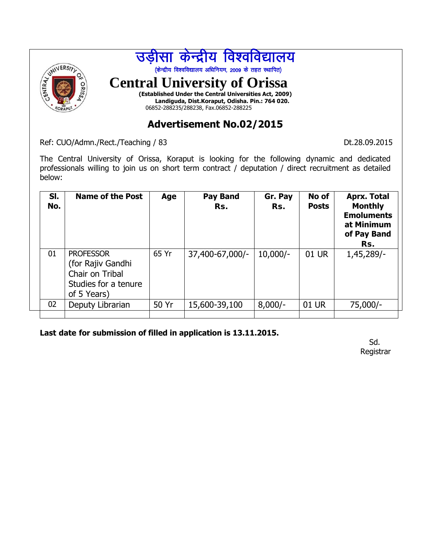

Ref: CUO/Admn./Rect./Teaching / 83 Dt.28.09.2015

The Central University of Orissa, Koraput is looking for the following dynamic and dedicated professionals willing to join us on short term contract / deputation / direct recruitment as detailed below:

| SI.<br>No. | <b>Name of the Post</b>                                                                         | Age   | Pay Band<br>Rs. | Gr. Pay<br>Rs. | No of<br><b>Posts</b> | <b>Aprx. Total</b><br><b>Monthly</b><br><b>Emoluments</b><br>at Minimum<br>of Pay Band<br>Rs. |
|------------|-------------------------------------------------------------------------------------------------|-------|-----------------|----------------|-----------------------|-----------------------------------------------------------------------------------------------|
| 01         | <b>PROFESSOR</b><br>(for Rajiv Gandhi<br>Chair on Tribal<br>Studies for a tenure<br>of 5 Years) | 65 Yr | 37,400-67,000/- | $10,000/-$     | 01 UR                 | 1,45,289/-                                                                                    |
| 02         | Deputy Librarian                                                                                | 50 Yr | 15,600-39,100   | $8,000/-$      | 01 UR                 | $75,000/-$                                                                                    |
|            |                                                                                                 |       |                 |                |                       |                                                                                               |

**Last date for submission of filled in application is 13.11.2015.** 

Sd. Registrar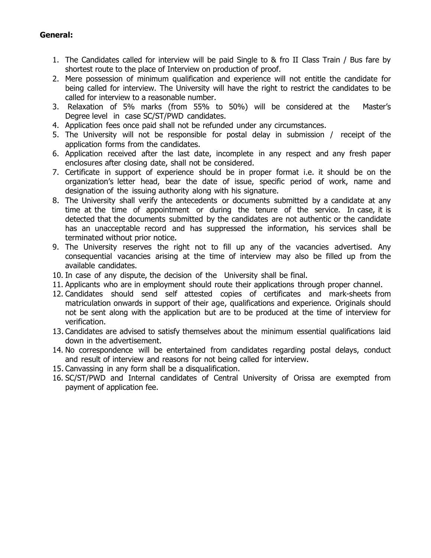#### **General:**

- 1. The Candidates called for interview will be paid Single to & fro II Class Train / Bus fare by shortest route to the place of Interview on production of proof.
- 2. Mere possession of minimum qualification and experience will not entitle the candidate for being called for interview. The University will have the right to restrict the candidates to be called for interview to a reasonable number.
- 3. Relaxation of 5% marks (from 55% to 50%) will be considered at the Master's Degree level in case SC/ST/PWD candidates.
- 4. Application fees once paid shall not be refunded under any circumstances.
- 5. The University will not be responsible for postal delay in submission / receipt of the application forms from the candidates.
- 6. Application received after the last date, incomplete in any respect and any fresh paper enclosures after closing date, shall not be considered.
- 7. Certificate in support of experience should be in proper format i.e. it should be on the organization's letter head, bear the date of issue, specific period of work, name and designation of the issuing authority along with his signature.
- 8. The University shall verify the antecedents or documents submitted by a candidate at any time at the time of appointment or during the tenure of the service. In case, it is detected that the documents submitted by the candidates are not authentic or the candidate has an unacceptable record and has suppressed the information, his services shall be terminated without prior notice.
- 9. The University reserves the right not to fill up any of the vacancies advertised. Any consequential vacancies arising at the time of interview may also be filled up from the available candidates.
- 10. In case of any dispute, the decision of the University shall be final.
- 11. Applicants who are in employment should route their applications through proper channel.
- 12. Candidates should send self attested copies of certificates and mark-sheets from matriculation onwards in support of their age, qualifications and experience. Originals should not be sent along with the application but are to be produced at the time of interview for verification.
- 13. Candidates are advised to satisfy themselves about the minimum essential qualifications laid down in the advertisement.
- 14. No correspondence will be entertained from candidates regarding postal delays, conduct and result of interview and reasons for not being called for interview.
- 15. Canvassing in any form shall be a disqualification.
- 16. SC/ST/PWD and Internal candidates of Central University of Orissa are exempted from payment of application fee.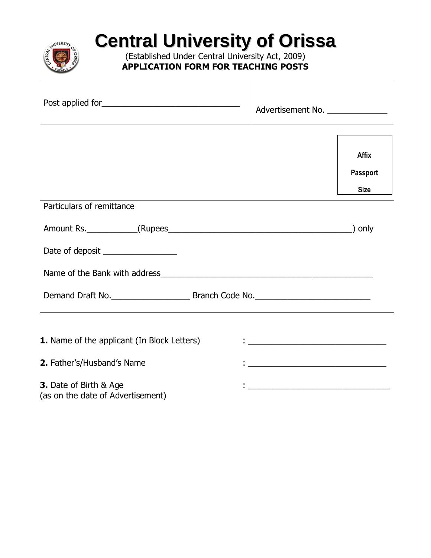

# **Central University of Orissa**

(Established Under Central University Act, 2009) **APPLICATION FORM FOR TEACHING POSTS**

| Post applied for<br>Advertisement No. |
|---------------------------------------|
|---------------------------------------|

|                                   | <b>Affix</b><br><b>Passport</b><br><b>Size</b> |
|-----------------------------------|------------------------------------------------|
| Particulars of remittance         |                                                |
|                                   | ) only                                         |
| Date of deposit _________________ |                                                |
|                                   |                                                |
|                                   |                                                |
|                                   |                                                |

| <b>1.</b> Name of the applicant (In Block Letters) |  |
|----------------------------------------------------|--|
| <b>2.</b> Father's/Husband's Name                  |  |
| <b>3.</b> Date of Birth & Age                      |  |

(as on the date of Advertisement)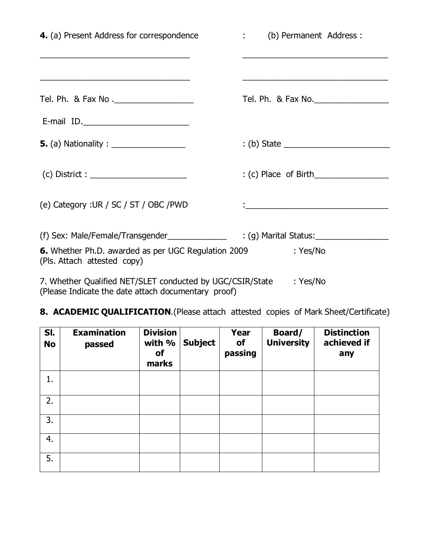| 4. (a) Present Address for correspondence                                                                                             | : (b) Permanent Address : |
|---------------------------------------------------------------------------------------------------------------------------------------|---------------------------|
|                                                                                                                                       |                           |
| E-mail ID.                                                                                                                            |                           |
| <b>5.</b> (a) Nationality : _________________                                                                                         |                           |
|                                                                                                                                       |                           |
| (e) Category : UR / SC / ST / OBC / PWD                                                                                               |                           |
| (f) Sex: Male/Female/Transgender_______________<br>6. Whether Ph.D. awarded as per UGC Regulation 2009<br>(Pls. Attach attested copy) | : Yes/No                  |
| 7. Whether Qualified NET/SLET conducted by UGC/CSIR/State<br>(Please Indicate the date attach documentary proof)                      | : Yes/No                  |

# **8. ACADEMIC QUALIFICATION**.(Please attach attested copies of Mark Sheet/Certificate)

| SI.<br><b>No</b> | <b>Examination</b><br>passed | <b>Division</b><br>with %<br>of<br>marks | <b>Subject</b> | Year<br>of<br>passing | Board/<br><b>University</b> | <b>Distinction</b><br>achieved if<br>any |
|------------------|------------------------------|------------------------------------------|----------------|-----------------------|-----------------------------|------------------------------------------|
| 1.               |                              |                                          |                |                       |                             |                                          |
| 2.               |                              |                                          |                |                       |                             |                                          |
| 3.               |                              |                                          |                |                       |                             |                                          |
| 4.               |                              |                                          |                |                       |                             |                                          |
| 5.               |                              |                                          |                |                       |                             |                                          |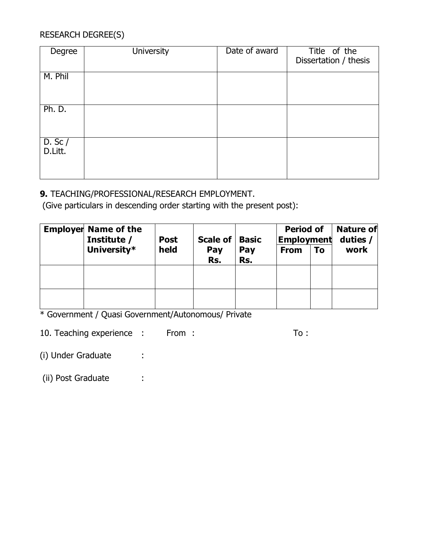## RESEARCH DEGREE(S)

| Degree                 | <b>University</b> | Date of award | Title of the<br>Dissertation / thesis |
|------------------------|-------------------|---------------|---------------------------------------|
| M. Phil                |                   |               |                                       |
| Ph. D.                 |                   |               |                                       |
| $D.$ Sc $/$<br>D.Litt. |                   |               |                                       |

#### **9.** TEACHING/PROFESSIONAL/RESEARCH EMPLOYMENT.

(Give particulars in descending order starting with the present post):

| <b>Employer Name of the</b><br>Institute / | <b>Post</b> | Scale of $ $ | <b>Basic</b> | <b>Period of</b><br><b>Employment</b> |    | <b>Nature of</b><br>duties / |
|--------------------------------------------|-------------|--------------|--------------|---------------------------------------|----|------------------------------|
| University*                                | held        | Pay<br>Rs.   | Pay<br>Rs.   | <b>From</b>                           | To | work                         |
|                                            |             |              |              |                                       |    |                              |
|                                            |             |              |              |                                       |    |                              |

\* Government / Quasi Government/Autonomous/ Private

10. Teaching experience : From : To :

(i) Under Graduate :

(ii) Post Graduate :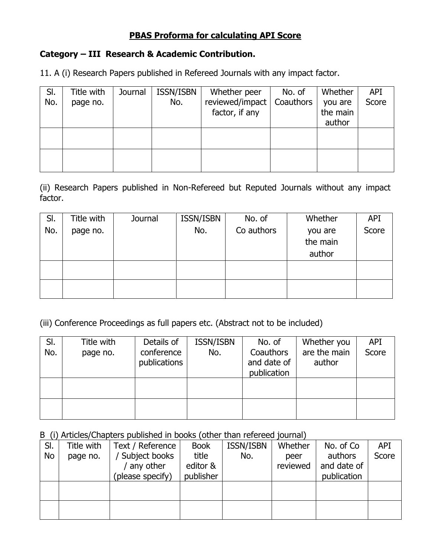#### **PBAS Proforma for calculating API Score**

#### **Category – III Research & Academic Contribution.**

11. A (i) Research Papers published in Refereed Journals with any impact factor.

| SI. | Title with | Journal | ISSN/ISBN | Whether peer    | No. of    | Whether  | API   |
|-----|------------|---------|-----------|-----------------|-----------|----------|-------|
| No. | page no.   |         | No.       | reviewed/impact | Coauthors | you are  | Score |
|     |            |         |           | factor, if any  |           | the main |       |
|     |            |         |           |                 |           | author   |       |
|     |            |         |           |                 |           |          |       |
|     |            |         |           |                 |           |          |       |
|     |            |         |           |                 |           |          |       |
|     |            |         |           |                 |           |          |       |

(ii) Research Papers published in Non-Refereed but Reputed Journals without any impact factor.

| SI. | Title with | Journal | ISSN/ISBN | No. of     | Whether  | <b>API</b> |
|-----|------------|---------|-----------|------------|----------|------------|
| No. | page no.   |         | No.       | Co authors | you are  | Score      |
|     |            |         |           |            | the main |            |
|     |            |         |           |            | author   |            |
|     |            |         |           |            |          |            |
|     |            |         |           |            |          |            |
|     |            |         |           |            |          |            |
|     |            |         |           |            |          |            |

(iii) Conference Proceedings as full papers etc. (Abstract not to be included)

| SI.<br>No. | Title with<br>page no. | Details of<br>conference<br>publications | ISSN/ISBN<br>No. | No. of<br>Coauthors<br>and date of<br>publication | Whether you<br>are the main<br>author | <b>API</b><br>Score |
|------------|------------------------|------------------------------------------|------------------|---------------------------------------------------|---------------------------------------|---------------------|
|            |                        |                                          |                  |                                                   |                                       |                     |
|            |                        |                                          |                  |                                                   |                                       |                     |

#### B (i) Articles/Chapters published in books (other than refereed journal)

| SI. | Title with | Text / Reference | <b>Book</b> | <b>ISSN/ISBN</b> | Whether  | No. of Co   | <b>API</b> |
|-----|------------|------------------|-------------|------------------|----------|-------------|------------|
| No  | page no.   | Subject books    | title       | No.              | peer     | authors     | Score      |
|     |            | any other        | editor &    |                  | reviewed | and date of |            |
|     |            | (please specify) | publisher   |                  |          | publication |            |
|     |            |                  |             |                  |          |             |            |
|     |            |                  |             |                  |          |             |            |
|     |            |                  |             |                  |          |             |            |
|     |            |                  |             |                  |          |             |            |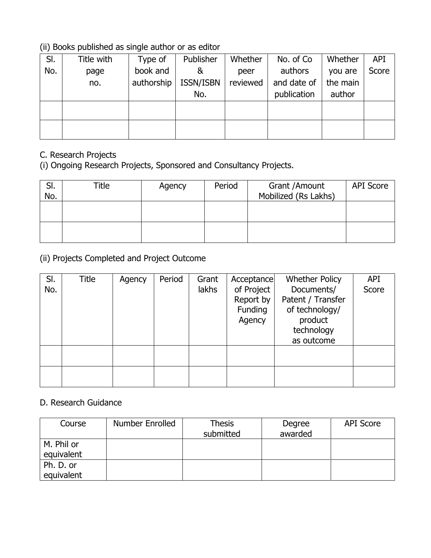#### (ii) Books published as single author or as editor

| SI. | Title with | Type of    | Publisher | Whether  | No. of Co.  | Whether  | <b>API</b> |
|-----|------------|------------|-----------|----------|-------------|----------|------------|
| No. | page       | book and   | &         | peer     | authors     | you are  | Score      |
|     | no.        | authorship | ISSN/ISBN | reviewed | and date of | the main |            |
|     |            |            | No.       |          | publication | author   |            |
|     |            |            |           |          |             |          |            |
|     |            |            |           |          |             |          |            |
|     |            |            |           |          |             |          |            |
|     |            |            |           |          |             |          |            |

# C. Research Projects

(i) Ongoing Research Projects, Sponsored and Consultancy Projects.

| SI.<br>No. | Title | Agency | Period | Grant / Amount<br>Mobilized (Rs Lakhs) | <b>API Score</b> |
|------------|-------|--------|--------|----------------------------------------|------------------|
|            |       |        |        |                                        |                  |
|            |       |        |        |                                        |                  |

(ii) Projects Completed and Project Outcome

| SI. | Title | Agency | Period | Grant | Acceptance                                          | <b>Whether Policy</b>                                        | <b>API</b> |
|-----|-------|--------|--------|-------|-----------------------------------------------------|--------------------------------------------------------------|------------|
| No. |       |        |        | lakhs | of Project<br>Report by<br><b>Funding</b><br>Agency | Documents/<br>Patent / Transfer<br>of technology/<br>product | Score      |
|     |       |        |        |       |                                                     | technology<br>as outcome                                     |            |
|     |       |        |        |       |                                                     |                                                              |            |
|     |       |        |        |       |                                                     |                                                              |            |
|     |       |        |        |       |                                                     |                                                              |            |

#### D. Research Guidance

| Course                   | Number Enrolled | <b>Thesis</b><br>submitted | Degree<br>awarded | <b>API Score</b> |
|--------------------------|-----------------|----------------------------|-------------------|------------------|
| M. Phil or<br>equivalent |                 |                            |                   |                  |
| Ph. D. or<br>equivalent  |                 |                            |                   |                  |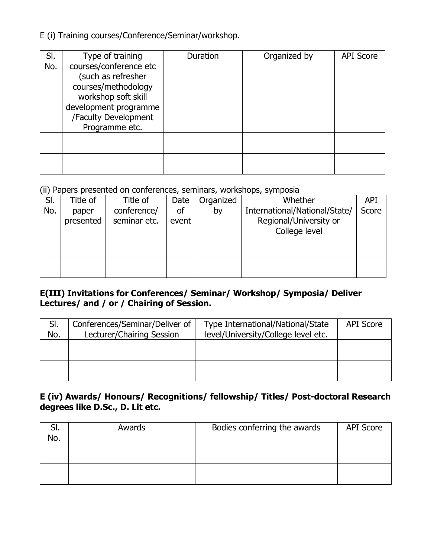E (i) Training courses/Conference/Seminar/workshop.

| SI.<br>No. | Type of training<br>courses/conference etc<br>(such as refresher<br>courses/methodology<br>workshop soft skill<br>development programme<br>/Faculty Development<br>Programme etc. | Duration | Organized by | <b>API Score</b> |
|------------|-----------------------------------------------------------------------------------------------------------------------------------------------------------------------------------|----------|--------------|------------------|
|            |                                                                                                                                                                                   |          |              |                  |
|            |                                                                                                                                                                                   |          |              |                  |

#### (ii) Papers presented on conferences, seminars, workshops, symposia

| SI. | Title of  | Title of     | Date  | Organized | Whether                       | <b>API</b> |
|-----|-----------|--------------|-------|-----------|-------------------------------|------------|
| No. | paper     | conference/  | of    | by        | International/National/State/ | Score      |
|     | presented | seminar etc. | event |           | Regional/University or        |            |
|     |           |              |       |           | College level                 |            |
|     |           |              |       |           |                               |            |
|     |           |              |       |           |                               |            |
|     |           |              |       |           |                               |            |
|     |           |              |       |           |                               |            |

#### **E(III) Invitations for Conferences/ Seminar/ Workshop/ Symposia/ Deliver Lectures/ and / or / Chairing of Session.**

| SI.<br>No. | Conferences/Seminar/Deliver of<br>Lecturer/Chairing Session | Type International/National/State<br>level/University/College level etc. | <b>API Score</b> |
|------------|-------------------------------------------------------------|--------------------------------------------------------------------------|------------------|
|            |                                                             |                                                                          |                  |
|            |                                                             |                                                                          |                  |

#### **E (iv) Awards/ Honours/ Recognitions/ fellowship/ Titles/ Post-doctoral Research degrees like D.Sc., D. Lit etc.**

| ، اب<br>No. | Awards | Bodies conferring the awards | <b>API Score</b> |
|-------------|--------|------------------------------|------------------|
|             |        |                              |                  |
|             |        |                              |                  |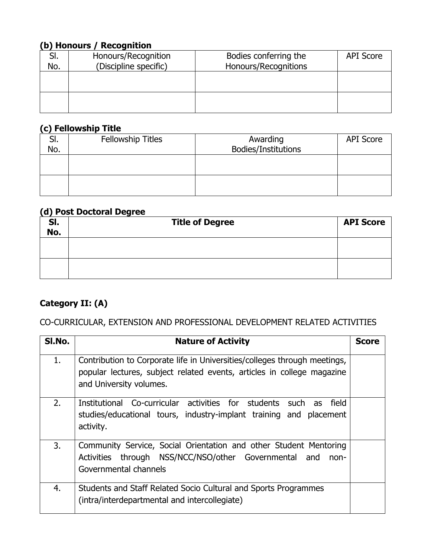## **(b) Honours / Recognition**

| No. | Honours/Recognition<br>(Discipline specific) | Bodies conferring the<br>Honours/Recognitions | <b>API Score</b> |
|-----|----------------------------------------------|-----------------------------------------------|------------------|
|     |                                              |                                               |                  |
|     |                                              |                                               |                  |
|     |                                              |                                               |                  |
|     |                                              |                                               |                  |
|     |                                              |                                               |                  |
|     |                                              |                                               |                  |

#### **(c) Fellowship Title**

| JI. | Fellowship Titles   | Awarding | <b>API Score</b> |  |  |  |  |  |  |
|-----|---------------------|----------|------------------|--|--|--|--|--|--|
| No. | Bodies/Institutions |          |                  |  |  |  |  |  |  |
|     |                     |          |                  |  |  |  |  |  |  |
|     |                     |          |                  |  |  |  |  |  |  |
|     |                     |          |                  |  |  |  |  |  |  |
|     |                     |          |                  |  |  |  |  |  |  |
|     |                     |          |                  |  |  |  |  |  |  |

#### **(d) Post Doctoral Degree**

| SI.<br>No. | <b>Title of Degree</b> | <b>API Score</b> |  |
|------------|------------------------|------------------|--|
|            |                        |                  |  |
|            |                        |                  |  |

## **Category II: (A)**

#### CO-CURRICULAR, EXTENSION AND PROFESSIONAL DEVELOPMENT RELATED ACTIVITIES

| SI.No. | <b>Nature of Activity</b>                                                                                                                                                      | <b>Score</b> |
|--------|--------------------------------------------------------------------------------------------------------------------------------------------------------------------------------|--------------|
| 1.     | Contribution to Corporate life in Universities/colleges through meetings,<br>popular lectures, subject related events, articles in college magazine<br>and University volumes. |              |
| 2.     | Institutional Co-curricular activities for students such as field<br>studies/educational tours, industry-implant training and placement<br>activity.                           |              |
| 3.     | Community Service, Social Orientation and other Student Mentoring<br>Activities through NSS/NCC/NSO/other Governmental<br>and<br>non-<br>Governmental channels                 |              |
| 4.     | Students and Staff Related Socio Cultural and Sports Programmes<br>(intra/interdepartmental and intercollegiate)                                                               |              |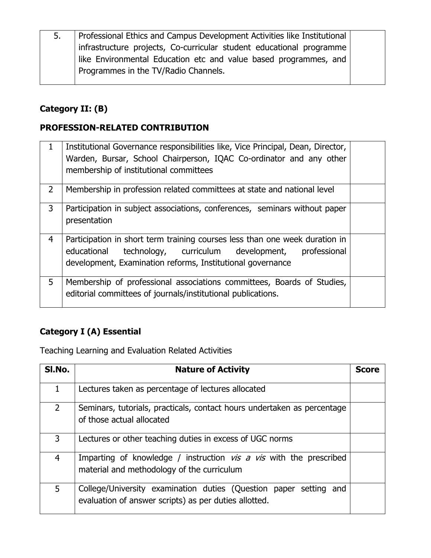| 5. | Professional Ethics and Campus Development Activities like Institutional |  |  |  |  |  |
|----|--------------------------------------------------------------------------|--|--|--|--|--|
|    | infrastructure projects, Co-curricular student educational programme     |  |  |  |  |  |
|    | like Environmental Education etc and value based programmes, and         |  |  |  |  |  |
|    | Programmes in the TV/Radio Channels.                                     |  |  |  |  |  |
|    |                                                                          |  |  |  |  |  |

## **Category II: (B)**

## **PROFESSION-RELATED CONTRIBUTION**

| $\mathbf 1$    | Institutional Governance responsibilities like, Vice Principal, Dean, Director,<br>Warden, Bursar, School Chairperson, IQAC Co-ordinator and any other<br>membership of institutional committees                |  |
|----------------|-----------------------------------------------------------------------------------------------------------------------------------------------------------------------------------------------------------------|--|
| $\overline{2}$ | Membership in profession related committees at state and national level                                                                                                                                         |  |
| 3              | Participation in subject associations, conferences, seminars without paper<br>presentation                                                                                                                      |  |
| $\overline{4}$ | Participation in short term training courses less than one week duration in<br>technology, curriculum development,<br>educational<br>professional<br>development, Examination reforms, Institutional governance |  |
| 5              | Membership of professional associations committees, Boards of Studies,<br>editorial committees of journals/institutional publications.                                                                          |  |

## **Category I (A) Essential**

Teaching Learning and Evaluation Related Activities

| SI.No.         | <b>Nature of Activity</b>                                                                                                  | <b>Score</b> |
|----------------|----------------------------------------------------------------------------------------------------------------------------|--------------|
| $\mathbf{1}$   | Lectures taken as percentage of lectures allocated                                                                         |              |
| $\overline{2}$ | Seminars, tutorials, practicals, contact hours undertaken as percentage<br>of those actual allocated                       |              |
| 3              | Lectures or other teaching duties in excess of UGC norms                                                                   |              |
| 4              | Imparting of knowledge / instruction $vis$ a $vis$ with the prescribed<br>material and methodology of the curriculum       |              |
| 5              | College/University examination duties (Question paper setting and<br>evaluation of answer scripts) as per duties allotted. |              |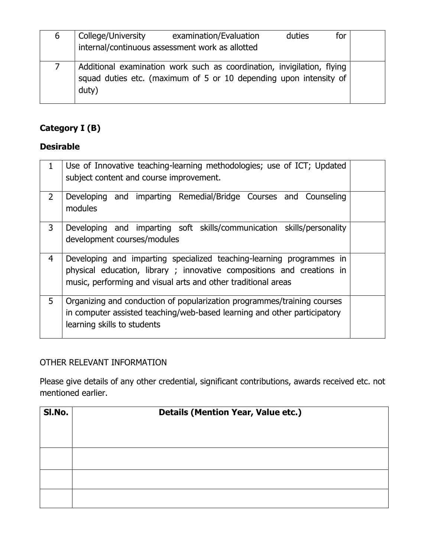| 6 | College/University | examination/Evaluation<br>internal/continuous assessment work as allotted                                                                   | duties | for |  |
|---|--------------------|---------------------------------------------------------------------------------------------------------------------------------------------|--------|-----|--|
|   | duty)              | Additional examination work such as coordination, invigilation, flying<br>squad duties etc. (maximum of 5 or 10 depending upon intensity of |        |     |  |

## **Category I (B)**

## **Desirable**

|                | Use of Innovative teaching-learning methodologies; use of ICT; Updated<br>subject content and course improvement.                                                                                              |  |  |
|----------------|----------------------------------------------------------------------------------------------------------------------------------------------------------------------------------------------------------------|--|--|
| $\overline{2}$ | Developing and imparting Remedial/Bridge Courses and Counseling<br>modules                                                                                                                                     |  |  |
| $\mathbf{3}$   | Developing and imparting soft skills/communication skills/personality<br>development courses/modules                                                                                                           |  |  |
| 4              | Developing and imparting specialized teaching-learning programmes in<br>physical education, library; innovative compositions and creations in<br>music, performing and visual arts and other traditional areas |  |  |
| 5              | Organizing and conduction of popularization programmes/training courses<br>in computer assisted teaching/web-based learning and other participatory<br>learning skills to students                             |  |  |

## OTHER RELEVANT INFORMATION

Please give details of any other credential, significant contributions, awards received etc. not mentioned earlier.

| SI.No. | <b>Details (Mention Year, Value etc.)</b> |
|--------|-------------------------------------------|
|        |                                           |
|        |                                           |
|        |                                           |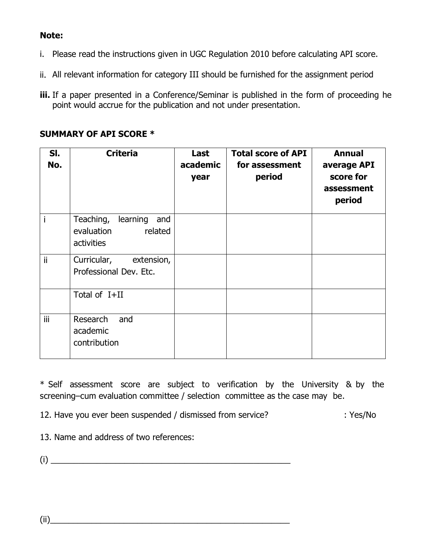#### **Note:**

- i. Please read the instructions given in UGC Regulation 2010 before calculating API score.
- ii. All relevant information for category III should be furnished for the assignment period
- **iii.** If a paper presented in a Conference/Seminar is published in the form of proceeding he point would accrue for the publication and not under presentation.

#### **SUMMARY OF API SCORE \***

| SI.<br>No. | <b>Criteria</b>                                                     | Last<br>academic<br>year | <b>Total score of API</b><br>for assessment<br>period | <b>Annual</b><br>average API<br>score for<br>assessment<br>period |
|------------|---------------------------------------------------------------------|--------------------------|-------------------------------------------------------|-------------------------------------------------------------------|
|            | Teaching,<br>learning<br>and<br>evaluation<br>related<br>activities |                          |                                                       |                                                                   |
| ii         | Curricular, extension,<br>Professional Dev. Etc.                    |                          |                                                       |                                                                   |
|            | Total of I+II                                                       |                          |                                                       |                                                                   |
| iii.       | Research<br>and<br>academic<br>contribution                         |                          |                                                       |                                                                   |

\* Self assessment score are subject to verification by the University & by the screening–cum evaluation committee / selection committee as the case may be.

12. Have you ever been suspended / dismissed from service? : Yes/No

13. Name and address of two references:

 $(i)$ 

 $(ii)$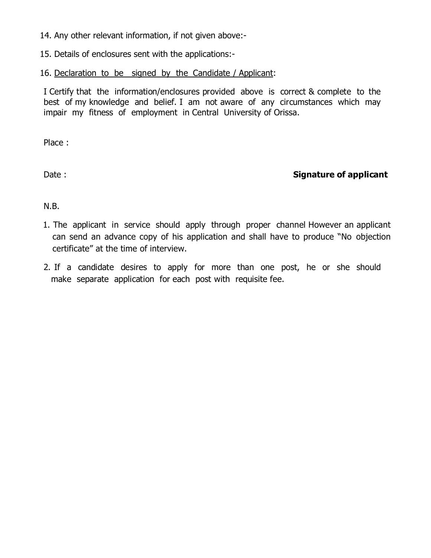14. Any other relevant information, if not given above:-

15. Details of enclosures sent with the applications:-

16. Declaration to be signed by the Candidate / Applicant:

I Certify that the information/enclosures provided above is correct & complete to the best of my knowledge and belief. I am not aware of any circumstances which may impair my fitness of employment in Central University of Orissa.

Place :

## Date : **Signature of applicant**

N.B.

- 1. The applicant in service should apply through proper channel However an applicant can send an advance copy of his application and shall have to produce "No objection certificate" at the time of interview.
- 2. If a candidate desires to apply for more than one post, he or she should make separate application for each post with requisite fee.